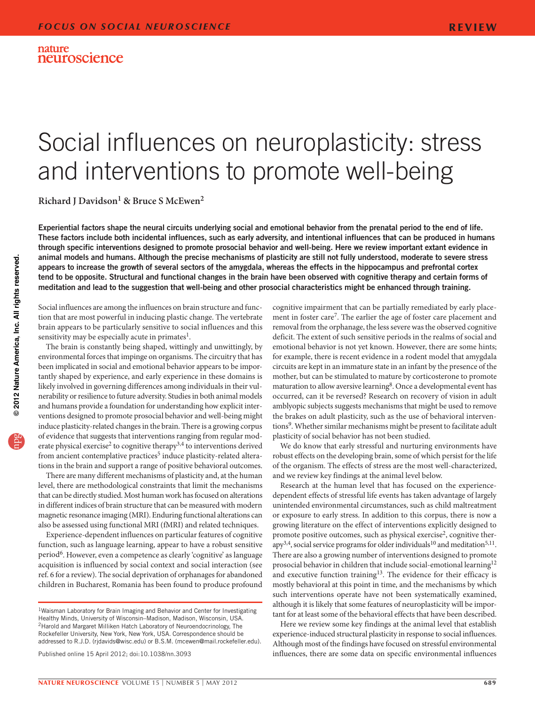# Social influences on neuroplasticity: stress and interventions to promote well-being

**Richard J Davidson1 & Bruce S McEwen2**

Experiential factors shape the neural circuits underlying social and emotional behavior from the prenatal period to the end of life. These factors include both incidental influences, such as early adversity, and intentional influences that can be produced in humans through specific interventions designed to promote prosocial behavior and well-being. Here we review important extant evidence in animal models and humans. Although the precise mechanisms of plasticity are still not fully understood, moderate to severe stress appears to increase the growth of several sectors of the amygdala, whereas the effects in the hippocampus and prefrontal cortex tend to be opposite. Structural and functional changes in the brain have been observed with cognitive therapy and certain forms of meditation and lead to the suggestion that well-being and other prosocial characteristics might be enhanced through training.

Social influences are among the influences on brain structure and function that are most powerful in inducing plastic change. The vertebrate brain appears to be particularly sensitive to social influences and this sensitivity may be especially acute in primates<sup>1</sup>.

The brain is constantly being shaped, wittingly and unwittingly, by environmental forces that impinge on organisms. The circuitry that has been implicated in social and emotional behavior appears to be importantly shaped by experience, and early experience in these domains is likely involved in governing differences among individuals in their vulnerability or resilience to future adversity. Studies in both animal models and humans provide a foundation for understanding how explicit interventions designed to promote prosocial behavior and well-being might induce plasticity-related changes in the brain. There is a growing corpus of evidence that suggests that interventions ranging from regular moderate physical exercise<sup>2</sup> to cognitive therapy<sup>3,4</sup> to interventions derived from ancient contemplative practices<sup>5</sup> induce plasticity-related alterations in the brain and support a range of positive behavioral outcomes.

There are many different mechanisms of plasticity and, at the human level, there are methodological constraints that limit the mechanisms that can be directly studied. Most human work has focused on alterations in different indices of brain structure that can be measured with modern magnetic resonance imaging (MRI). Enduring functional alterations can also be assessed using functional MRI (fMRI) and related techniques.

Experience-dependent influences on particular features of cognitive function, such as language learning, appear to have a robust sensitive period<sup>6</sup>. However, even a competence as clearly 'cognitive' as language acquisition is influenced by social context and social interaction (see ref. 6 for a review). The social deprivation of orphanages for abandoned children in Bucharest, Romania has been found to produce profound

Published online 15 April 2012; doi:10.1038/nn.3093

cognitive impairment that can be partially remediated by early placement in foster care<sup>7</sup>. The earlier the age of foster care placement and removal from the orphanage, the less severe was the observed cognitive deficit. The extent of such sensitive periods in the realms of social and emotional behavior is not yet known. However, there are some hints; for example, there is recent evidence in a rodent model that amygdala circuits are kept in an immature state in an infant by the presence of the mother, but can be stimulated to mature by corticosterone to promote maturation to allow aversive learning<sup>8</sup>. Once a developmental event has occurred, can it be reversed? Research on recovery of vision in adult amblyopic subjects suggests mechanisms that might be used to remove the brakes on adult plasticity, such as the use of behavioral interventions<sup>9</sup>. Whether similar mechanisms might be present to facilitate adult plasticity of social behavior has not been studied.

We do know that early stressful and nurturing environments have robust effects on the developing brain, some of which persist for the life of the organism. The effects of stress are the most well-characterized, and we review key findings at the animal level below.

Research at the human level that has focused on the experiencedependent effects of stressful life events has taken advantage of largely unintended environmental circumstances, such as child maltreatment or exposure to early stress. In addition to this corpus, there is now a growing literature on the effect of interventions explicitly designed to promote positive outcomes, such as physical exercise<sup>2</sup>, cognitive ther- $\text{app}^{3,4}$ , social service programs for older individuals<sup>10</sup> and meditation<sup>5,11</sup>. There are also a growing number of interventions designed to promote prosocial behavior in children that include social-emotional learning<sup>12</sup> and executive function training<sup>13</sup>. The evidence for their efficacy is mostly behavioral at this point in time, and the mechanisms by which such interventions operate have not been systematically examined, although it is likely that some features of neuroplasticity will be important for at least some of the behavioral effects that have been described.

Here we review some key findings at the animal level that establish experience-induced structural plasticity in response to social influences. Although most of the findings have focused on stressful environmental influences, there are some data on specific environmental influences

<sup>&</sup>lt;sup>1</sup>Waisman Laboratory for Brain Imaging and Behavior and Center for Investigating Healthy Minds, University of Wisconsin–Madison, Madison, Wisconsin, USA. 2Harold and Margaret Milliken Hatch Laboratory of Neuroendocrinology, The Rockefeller University, New York, New York, USA. Correspondence should be addressed to R.J.D. (rjdavids@wisc.edu) or B.S.M. ([mcewen@mail.rockefeller.edu\)](mailto:mcewen@mail.rockefeller.edu).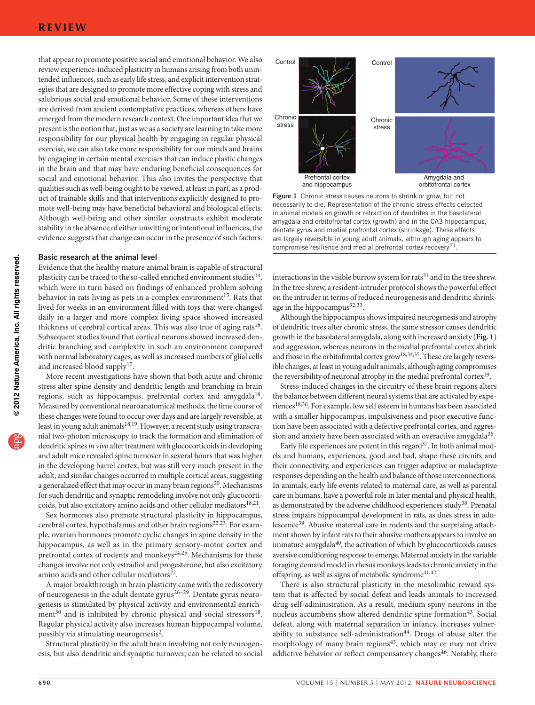that appear to promote positive social and emotional behavior. We also review experience-induced plasticity in humans arising from both unintended influences, such as early life stress, and explicit intervention strategies that are designed to promote more effective coping with stress and salubrious social and emotional behavior. Some of these interventions are derived from ancient contemplative practices, whereas others have emerged from the modern research context. One important idea that we present is the notion that, just as we as a society are learning to take more responsibility for our physical health by engaging in regular physical exercise, we can also take more responsibility for our minds and brains by engaging in certain mental exercises that can induce plastic changes in the brain and that may have enduring beneficial consequences for social and emotional behavior. This also invites the perspective that qualities such as well-being ought to be viewed, at least in part, as a product of trainable skills and that interventions explicitly designed to promote well-being may have beneficial behavioral and biological effects. Although well-being and other similar constructs exhibit moderate stability in the absence of either unwitting or intentional influences, the evidence suggests that change can occur in the presence of such factors.

# Basic research at the animal level

Evidence that the healthy mature animal brain is capable of structural plasticity can be traced to the so-called enriched environment studies<sup>14</sup>, which were in turn based on findings of enhanced problem solving behavior in rats living as pets in a complex environment<sup>15</sup>. Rats that lived for weeks in an environment filled with toys that were changed daily in a larger and more complex living space showed increased thickness of cerebral cortical areas. This was also true of aging rats $^{16}$ . Subsequent studies found that cortical neurons showed increased dendritic branching and complexity in such an environment compared with normal laboratory cages, as well as increased numbers of glial cells and increased blood supply<sup>17</sup>.

More recent investigations have shown that both acute and chronic stress alter spine density and dendritic length and branching in brain regions, such as hippocampus, prefrontal cortex and amygdala<sup>18</sup>. Measured by conventional neuroanatomical methods, the time course of these changes were found to occur over days and are largely reversible, at least in young adult animals<sup>18,19</sup>. However, a recent study using transcranial two-photon microscopy to track the formation and elimination of dendritic spines *in vivo* after treatment with glucocorticoids in developing and adult mice revealed spine turnover in several hours that was higher in the developing barrel cortex, but was still very much present in the adult, and similar changes occurred in multiple cortical areas, suggesting a generalized effect that may occur in many brain regions<sup>20</sup>. Mechanisms for such dendritic and synaptic remodeling involve not only glucocorticoids, but also excitatory amino acids and other cellular mediators<sup>18,21</sup>.

Sex hormones also promote structural plasticity in hippocampus, cerebral cortex, hypothalamus and other brain regions<sup>22,23</sup>. For example, ovarian hormones promote cyclic changes in spine density in the hippocampus, as well as in the primary sensory-motor cortex and prefrontal cortex of rodents and monkeys $24,25$ . Mechanisms for these changes involve not only estradiol and progesterone, but also excitatory amino acids and other cellular mediators<sup>22</sup>.

A major breakthrough in brain plasticity came with the rediscovery of neurogenesis in the adult dentate gyrus $26-29$ . Dentate gyrus neurogenesis is stimulated by physical activity and environmental enrichment<sup>30</sup> and is inhibited by chronic physical and social stressors<sup>18</sup>. Regular physical activity also increases human hippocampal volume, possibly via stimulating neurogenesis2.

Structural plasticity in the adult brain involving not only neurogenesis, but also dendritic and synaptic turnover, can be related to social



Figure 1 Chronic stress causes neurons to shrink or grow, but not necessarily to die. Representation of the chronic stress effects detected in animal models on growth or retraction of dendrites in the basolateral amygdala and orbitofrontal cortex (growth) and in the CA3 hippocampus, dentate gyrus and medial prefrontal cortex (shrinkage). These effects are largely reversible in young adult animals, although aging appears to compromise resilience and medial prefrontal cortex recovery<sup>21</sup>

interactions in the visible burrow system for rats<sup>31</sup> and in the tree shrew. In the tree shrew, a resident-intruder protocol shows the powerful effect on the intruder in terms of reduced neurogenesis and dendritic shrinkage in the hippocampus  $32,33$ .

Although the hippocampus shows impaired neurogenesis and atrophy of dendritic trees after chronic stress, the same stressor causes dendritic growth in the basolateral amygdala, along with increased anxiety (**Fig. 1**) and aggression, whereas neurons in the medial prefrontal cortex shrink and those in the orbitofrontal cortex grow<sup>18,34,35</sup>. These are largely reversible changes, at least in young adult animals, although aging compromises the reversibility of neuronal atrophy in the medial prefrontal cortex<sup>19</sup>.

Stress-induced changes in the circuitry of these brain regions alters the balance between different neural systems that are activated by experiences18,36. For example, low self esteem in humans has been associated with a smaller hippocampus, impulsiveness and poor executive function have been associated with a defective prefrontal cortex, and aggression and anxiety have been associated with an overactive amygdala<sup>36</sup>.

Early life experiences are potent in this regard<sup>37</sup>. In both animal models and humans, experiences, good and bad, shape these circuits and their connectivity, and experiences can trigger adaptive or maladaptive responses depending on the health and balance of those interconnections. In animals, early life events related to maternal care, as well as parental care in humans, have a powerful role in later mental and physical health, as demonstrated by the adverse childhood experiences study<sup>38</sup>. Prenatal stress impairs hippocampal development in rats, as does stress in adolescence39. Abusive maternal care in rodents and the surprising attachment shown by infant rats to their abusive mothers appears to involve an immature amygdala<sup>40</sup>, the activation of which by glucocorticoids causes aversive conditioning response to emerge. Maternal anxiety in the variable foraging demand model in rhesus monkeys leads to chronic anxiety in the offspring, as well as signs of metabolic syndrome<sup>41,42</sup>.

There is also structural plasticity in the mesolimbic reward system that is affected by social defeat and leads animals to increased drug self-administration. As a result, medium spiny neurons in the nucleus accumbens show altered dendritic spine formation<sup>43</sup>. Social defeat, along with maternal separation in infancy, increases vulnerability to substance self-administration<sup>44</sup>. Drugs of abuse alter the morphology of many brain regions $45$ , which may or may not drive addictive behavior or reflect compensatory changes<sup>46</sup>. Notably, there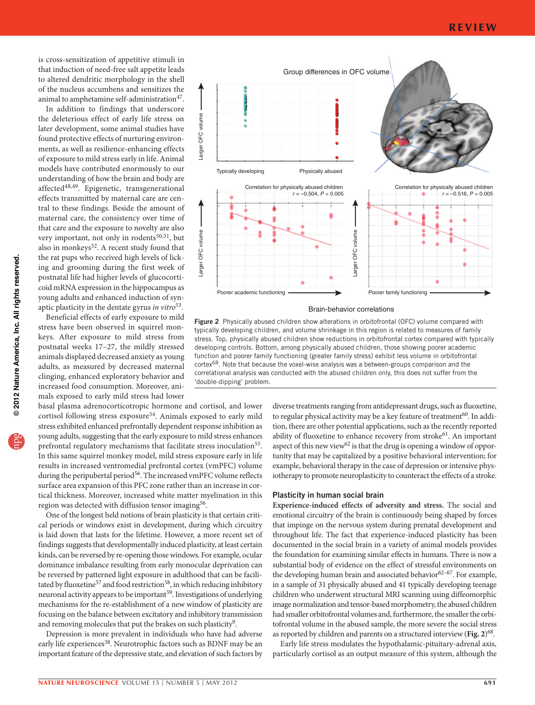is cross-sensitization of appetitive stimuli in that induction of need-free salt appetite leads to altered dendritic morphology in the shell of the nucleus accumbens and sensitizes the animal to amphetamine self-administration<sup>47</sup>.

In addition to findings that underscore the deleterious effect of early life stress on later development, some animal studies have found protective effects of nurturing environments, as well as resilience-enhancing effects of exposure to mild stress early in life. Animal models have contributed enormously to our understanding of how the brain and body are affected48,49. Epigenetic, transgenerational effects transmitted by maternal care are central to these findings. Beside the amount of maternal care, the consistency over time of that care and the exposure to novelty are also very important, not only in rodents<sup>50,51</sup>, but also in monkeys<sup>52</sup>. A recent study found that the rat pups who received high levels of licking and grooming during the first week of postnatal life had higher levels of glucocorticoid mRNA expression in the hippocampus as young adults and enhanced induction of synaptic plasticity in the dentate gyrus *in vitro*53.

Beneficial effects of early exposure to mild stress have been observed in squirrel monkeys. After exposure to mild stress from postnatal weeks 17–27, the mildly stressed animals displayed decreased anxiety as young adults, as measured by decreased maternal clinging, enhanced exploratory behavior and increased food consumption. Moreover, animals exposed to early mild stress had lower

basal plasma adrenocorticotropic hormone and cortisol, and lower cortisol following stress exposure<sup>54</sup>. Animals exposed to early mild stress exhibited enhanced prefrontally dependent response inhibition as young adults, suggesting that the early exposure to mild stress enhances prefrontal regulatory mechanisms that facilitate stress inoculation<sup>55</sup>. In this same squirrel monkey model, mild stress exposure early in life results in increased ventromedial prefrontal cortex (vmPFC) volume during the peripubertal period<sup>56</sup>. The increased vmPFC volume reflects surface area expansion of this PFC zone rather than an increase in cortical thickness. Moreover, increased white matter myelination in this region was detected with diffusion tensor imaging<sup>56</sup>.

One of the longest held notions of brain plasticity is that certain critical periods or windows exist in development, during which circuitry is laid down that lasts for the lifetime. However, a more recent set of findings suggests that developmentally induced plasticity, at least certain kinds, can be reversed by re-opening those windows. For example, ocular dominance imbalance resulting from early monocular deprivation can be reversed by patterned light exposure in adulthood that can be facilitated by fluoxetine<sup>57</sup> and food restriction<sup>58</sup>, in which reducing inhibitory neuronal activity appears to be important<sup>59</sup>. Investigations of underlying mechanisms for the re-establishment of a new window of plasticity are focusing on the balance between excitatory and inhibitory transmission and removing molecules that put the brakes on such plasticity<sup>9</sup>.

Depression is more prevalent in individuals who have had adverse early life experiences<sup>38</sup>. Neurotrophic factors such as BDNF may be an important feature of the depressive state, and elevation of such factors by



#### Brain-behavior correlations

Figure 2 Physically abused children show alterations in orbitofrontal (OFC) volume compared with typically developing children, and volume shrinkage in this region is related to measures of family stress. Top, physically abused children show reductions in orbitofrontal cortex compared with typically developing controls. Bottom, among physically abused children, those showing poorer academic function and poorer family functioning (greater family stress) exhibit less volume in orbitofrontal cortex<sup>68</sup>. Note that because the voxel-wise analysis was a between-groups comparison and the correlational analysis was conducted with the abused children only, this does not suffer from the 'double-dipping' problem.

diverse treatments ranging from antidepressant drugs, such as fluoxetine, to regular physical activity may be a key feature of treatment<sup>60</sup>. In addition, there are other potential applications, such as the recently reported ability of fluoxetine to enhance recovery from stroke<sup>61</sup>. An important aspect of this new view<sup>62</sup> is that the drug is opening a window of opportunity that may be capitalized by a positive behavioral intervention; for example, behavioral therapy in the case of depression or intensive physiotherapy to promote neuroplasticity to counteract the effects of a stroke.

## Plasticity in human social brain

**Experience-induced effects of adversity and stress.** The social and emotional circuitry of the brain is continuously being shaped by forces that impinge on the nervous system during prenatal development and throughout life. The fact that experience-induced plasticity has been documented in the social brain in a variety of animal models provides the foundation for examining similar effects in humans. There is now a substantial body of evidence on the effect of stressful environments on the developing human brain and associated behavior<sup>62–67</sup>. For example, in a sample of 31 physically abused and 41 typically developing teenage children who underwent structural MRI scanning using diffeomorphic image normalization and tensor-based morphometry, the abused children had smaller orbitofrontal volumes and, furthermore, the smaller the orbitofrontal volume in the abused sample, the more severe the social stress as reported by children and parents on a structured interview (**Fig. 2**)68.

Early life stress modulates the hypothalamic-pituitary-adrenal axis, particularly cortisol as an output measure of this system, although the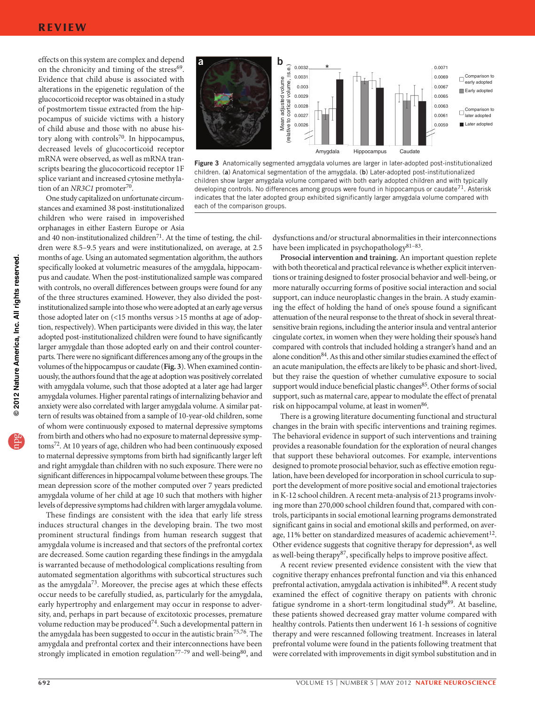# review

effects on this system are complex and depend on the chronicity and timing of the stress<sup>69</sup>. Evidence that child abuse is associated with alterations in the epigenetic regulation of the glucocorticoid receptor was obtained in a study of postmortem tissue extracted from the hippocampus of suicide victims with a history of child abuse and those with no abuse history along with controls<sup>70</sup>. In hippocampus, decreased levels of glucocorticoid receptor mRNA were observed, as well as mRNA transcripts bearing the glucocorticoid receptor 1F splice variant and increased cytosine methylation of an *NR3C1* promoter<sup>70</sup>.

One study capitalized on unfortunate circumstances and examined 38 post-institutionalized children who were raised in impoverished orphanages in either Eastern Europe or Asia

and 40 non-institutionalized children<sup>71</sup>. At the time of testing, the children were 8.5–9.5 years and were institutionalized, on average, at 2.5 months of age. Using an automated segmentation algorithm, the authors specifically looked at volumetric measures of the amygdala, hippocampus and caudate. When the post-institutionalized sample was compared with controls, no overall differences between groups were found for any of the three structures examined. However, they also divided the postinstitutionalized sample into those who were adopted at an early age versus those adopted later on (<15 months versus >15 months at age of adoption, respectively). When participants were divided in this way, the later adopted post-institutionalized children were found to have significantly larger amygdale than those adopted early on and their control counterparts. There were no significant differences among any of the groups in the volumes of the hippocampus or caudate (**Fig. 3**). When examined continuously, the authors found that the age at adoption was positively correlated with amygdala volume, such that those adopted at a later age had larger amygdala volumes. Higher parental ratings of internalizing behavior and anxiety were also correlated with larger amygdala volume. A similar pattern of results was obtained from a sample of 10-year-old children, some of whom were continuously exposed to maternal depressive symptoms from birth and others who had no exposure to maternal depressive symp-

toms72. At 10 years of age, children who had been continuously exposed to maternal depressive symptoms from birth had significantly larger left and right amygdale than children with no such exposure. There were no significant differences in hippocampal volume between these groups. The mean depression score of the mother computed over 7 years predicted amygdala volume of her child at age 10 such that mothers with higher levels of depressive symptoms had children with larger amygdala volume.

These findings are consistent with the idea that early life stress induces structural changes in the developing brain. The two most prominent structural findings from human research suggest that amygdala volume is increased and that sectors of the prefrontal cortex are decreased. Some caution regarding these findings in the amygdala is warranted because of methodological complications resulting from automated segmentation algorithms with subcortical structures such as the amygdala<sup>73</sup>. Moreover, the precise ages at which these effects occur needs to be carefully studied, as, particularly for the amygdala, early hypertrophy and enlargement may occur in response to adversity, and, perhaps in part because of excitotoxic processes, premature volume reduction may be produced74. Such a developmental pattern in the amygdala has been suggested to occur in the autistic brain<sup>75,76</sup>. The amygdala and prefrontal cortex and their interconnections have been strongly implicated in emotion regulation<sup>77-79</sup> and well-being<sup>80</sup>, and



Figure 3 Anatomically segmented amygdala volumes are larger in later-adopted post-institutionalized children. (a) Anatomical segmentation of the amygdala. (b) Later-adopted post-institutionalized children show larger amygdala volume compared with both early adopted children and with typically developing controls. No differences among groups were found in hippocampus or caudate<sup>71</sup>. Asterisk indicates that the later adopted group exhibited significantly larger amygdala volume compared with each of the comparison groups.

dysfunctions and/or structural abnormalities in their interconnections have been implicated in psychopathology<sup>81-83</sup>.

**Prosocial intervention and training.** An important question replete with both theoretical and practical relevance is whether explicit interventions or training designed to foster prosocial behavior and well-being, or more naturally occurring forms of positive social interaction and social support, can induce neuroplastic changes in the brain. A study examining the effect of holding the hand of one's spouse found a significant attenuation of the neural response to the threat of shock in several threatsensitive brain regions, including the anterior insula and ventral anterior cingulate cortex, in women when they were holding their spouse's hand compared with controls that included holding a stranger's hand and an alone condition<sup>84</sup>. As this and other similar studies examined the effect of an acute manipulation, the effects are likely to be phasic and short-lived, but they raise the question of whether cumulative exposure to social support would induce beneficial plastic changes<sup>85</sup>. Other forms of social support, such as maternal care, appear to modulate the effect of prenatal risk on hippocampal volume, at least in women<sup>86</sup>.

There is a growing literature documenting functional and structural changes in the brain with specific interventions and training regimes. The behavioral evidence in support of such interventions and training provides a reasonable foundation for the exploration of neural changes that support these behavioral outcomes. For example, interventions designed to promote prosocial behavior, such as effective emotion regulation, have been developed for incorporation in school curricula to support the development of more positive social and emotional trajectories in K-12 school children. A recent meta-analysis of 213 programs involving more than 270,000 school children found that, compared with controls, participants in social emotional learning programs demonstrated significant gains in social and emotional skills and performed, on average, 11% better on standardized measures of academic achievement<sup>12</sup>. Other evidence suggests that cognitive therapy for depression<sup>4</sup>, as well as well-being therapy<sup>87</sup>, specifically helps to improve positive affect.

A recent review presented evidence consistent with the view that cognitive therapy enhances prefrontal function and via this enhanced prefrontal activation, amygdala activation is inhibited<sup>88</sup>. A recent study examined the effect of cognitive therapy on patients with chronic fatigue syndrome in a short-term longitudinal study<sup>89</sup>. At baseline, these patients showed decreased gray matter volume compared with healthy controls. Patients then underwent 16 1-h sessions of cognitive therapy and were rescanned following treatment. Increases in lateral prefrontal volume were found in the patients following treatment that were correlated with improvements in digit symbol substitution and in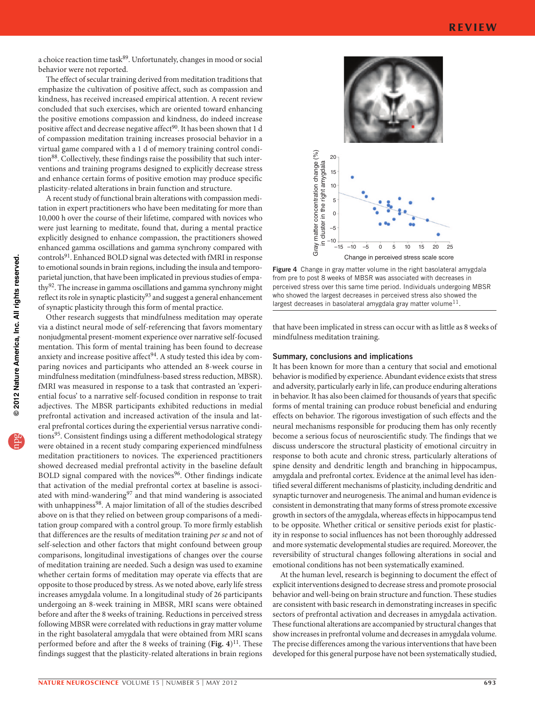a choice reaction time  $task^{89}$ . Unfortunately, changes in mood or social behavior were not reported.

The effect of secular training derived from meditation traditions that emphasize the cultivation of positive affect, such as compassion and kindness, has received increased empirical attention. A recent review concluded that such exercises, which are oriented toward enhancing the positive emotions compassion and kindness, do indeed increase positive affect and decrease negative affect<sup>90</sup>. It has been shown that 1 d of compassion meditation training increases prosocial behavior in a virtual game compared with a 1 d of memory training control condition88. Collectively, these findings raise the possibility that such interventions and training programs designed to explicitly decrease stress and enhance certain forms of positive emotion may produce specific plasticity-related alterations in brain function and structure.

A recent study of functional brain alterations with compassion meditation in expert practitioners who have been meditating for more than 10,000 h over the course of their lifetime, compared with novices who were just learning to meditate, found that, during a mental practice explicitly designed to enhance compassion, the practitioners showed enhanced gamma oscillations and gamma synchrony compared with controls<sup>91</sup>. Enhanced BOLD signal was detected with fMRI in response to emotional sounds in brain regions, including the insula and temporoparietal junction, that have been implicated in previous studies of empathy92. The increase in gamma oscillations and gamma synchrony might reflect its role in synaptic plasticity<sup>93</sup> and suggest a general enhancement of synaptic plasticity through this form of mental practice.

Other research suggests that mindfulness meditation may operate via a distinct neural mode of self-referencing that favors momentary nonjudgmental present-moment experience over narrative self-focused mentation. This form of mental training has been found to decrease anxiety and increase positive affect<sup>94</sup>. A study tested this idea by comparing novices and participants who attended an 8-week course in mindfulness meditation (mindfulness-based stress reduction, MBSR). fMRI was measured in response to a task that contrasted an 'experiential focus' to a narrative self-focused condition in response to trait adjectives. The MBSR participants exhibited reductions in medial prefrontal activation and increased activation of the insula and lateral prefrontal cortices during the experiential versus narrative conditions<sup>95</sup>. Consistent findings using a different methodological strategy were obtained in a recent study comparing experienced mindfulness meditation practitioners to novices. The experienced practitioners showed decreased medial prefrontal activity in the baseline default BOLD signal compared with the novices<sup>96</sup>. Other findings indicate that activation of the medial prefrontal cortex at baseline is associated with mind-wandering<sup>97</sup> and that mind wandering is associated with unhappiness<sup>98</sup>. A major limitation of all of the studies described above on is that they relied on between group comparisons of a meditation group compared with a control group. To more firmly establish that differences are the results of meditation training *per se* and not of self-selection and other factors that might confound between group comparisons, longitudinal investigations of changes over the course of meditation training are needed. Such a design was used to examine whether certain forms of meditation may operate via effects that are opposite to those produced by stress. As we noted above, early life stress increases amygdala volume. In a longitudinal study of 26 participants undergoing an 8-week training in MBSR, MRI scans were obtained before and after the 8 weeks of training. Reductions in perceived stress following MBSR were correlated with reductions in gray matter volume in the right basolateral amygdala that were obtained from MRI scans performed before and after the 8 weeks of training  $(Fig. 4)^{11}$ . These findings suggest that the plasticity-related alterations in brain regions



Figure 4 Change in gray matter volume in the right basolateral amygdala from pre to post 8 weeks of MBSR was associated with decreases in perceived stress over this same time period. Individuals undergoing MBSR who showed the largest decreases in perceived stress also showed the largest decreases in basolateral amygdala gray matter volume $^{11}$ .

that have been implicated in stress can occur with as little as 8 weeks of mindfulness meditation training.

### Summary, conclusions and implications

It has been known for more than a century that social and emotional behavior is modified by experience. Abundant evidence exists that stress and adversity, particularly early in life, can produce enduring alterations in behavior. It has also been claimed for thousands of years that specific forms of mental training can produce robust beneficial and enduring effects on behavior. The rigorous investigation of such effects and the neural mechanisms responsible for producing them has only recently become a serious focus of neuroscientific study. The findings that we discuss underscore the structural plasticity of emotional circuitry in response to both acute and chronic stress, particularly alterations of spine density and dendritic length and branching in hippocampus, amygdala and prefrontal cortex. Evidence at the animal level has identified several different mechanisms of plasticity, including dendritic and synaptic turnover and neurogenesis. The animal and human evidence is consistent in demonstrating that many forms of stress promote excessive growth in sectors of the amygdala, whereas effects in hippocampus tend to be opposite. Whether critical or sensitive periods exist for plasticity in response to social influences has not been thoroughly addressed and more systematic developmental studies are required. Moreover, the reversibility of structural changes following alterations in social and emotional conditions has not been systematically examined.

At the human level, research is beginning to document the effect of explicit interventions designed to decrease stress and promote prosocial behavior and well-being on brain structure and function. These studies are consistent with basic research in demonstrating increases in specific sectors of prefrontal activation and decreases in amygdala activation. These functional alterations are accompanied by structural changes that show increases in prefrontal volume and decreases in amygdala volume. The precise differences among the various interventions that have been developed for this general purpose have not been systematically studied,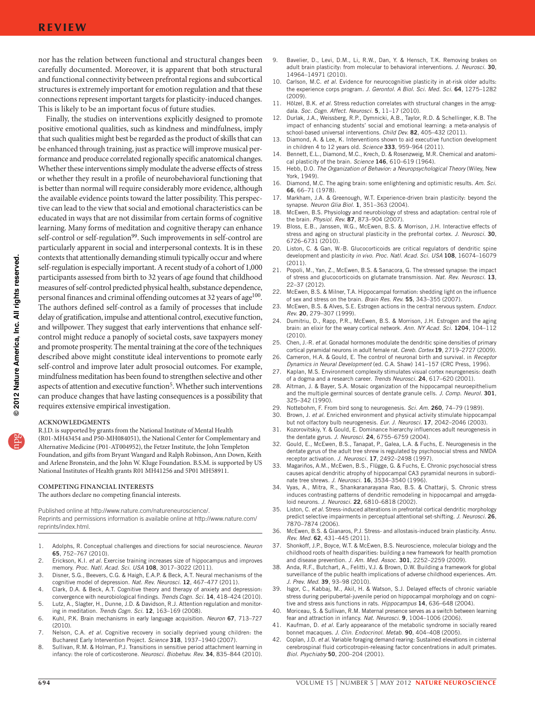nor has the relation between functional and structural changes been carefully documented. Moreover, it is apparent that both structural and functional connectivity between prefrontal regions and subcortical structures is extremely important for emotion regulation and that these connections represent important targets for plasticity-induced changes. This is likely to be an important focus of future studies.

Finally, the studies on interventions explicitly designed to promote positive emotional qualities, such as kindness and mindfulness, imply that such qualities might best be regarded as the product of skills that can be enhanced through training, just as practice will improve musical performance and produce correlated regionally specific anatomical changes. Whether these interventions simply modulate the adverse effects of stress or whether they result in a profile of neurobehavioral functioning that is better than normal will require considerably more evidence, although the available evidence points toward the latter possibility. This perspective can lead to the view that social and emotional characteristics can be educated in ways that are not dissimilar from certain forms of cognitive learning. Many forms of meditation and cognitive therapy can enhance self-control or self-regulation<sup>99</sup>. Such improvements in self-control are particularly apparent in social and interpersonal contexts. It is in these contexts that attentionally demanding stimuli typically occur and where self-regulation is especially important. A recent study of a cohort of 1,000 participants assessed from birth to 32 years of age found that childhood measures of self-control predicted physical health, substance dependence, personal finances and criminal offending outcomes at 32 years of age<sup>100</sup>. The authors defined self-control as a family of processes that include delay of gratification, impulse and attentional control, executive function, and willpower. They suggest that early interventions that enhance selfcontrol might reduce a panoply of societal costs, save taxpayers money and promote prosperity. The mental training at the core of the techniques described above might constitute ideal interventions to promote early self-control and improve later adult prosocial outcomes. For example, mindfulness meditation has been found to strengthen selective and other aspects of attention and executive function<sup>5</sup>. Whether such interventions can produce changes that have lasting consequences is a possibility that requires extensive empirical investigation.

#### **ACKNOWLEDGMENTS**

R.J.D. is supported by grants from the National Institute of Mental Health (R01-MH43454 and P50-MH084051), the National Center for Complementary and Alternative Medicine (P01-AT004952), the Fetzer Institute, the John Templeton Foundation, and gifts from Bryant Wangard and Ralph Robinson, Ann Down, Keith and Arlene Bronstein, and the John W. Kluge Foundation. B.S.M. is supported by US National Institutes of Health grants R01 MH41256 and 5P01 MH58911.

#### **COMPETING FINANCIAL INTERESTS**

The authors declare no competing financial interests.

Published online at [http://www.nature.com/natureneuroscience/](http://www.nature.com/neuro/index.html). Reprints and permissions information is available online at [http://www.nature.com/](http://www.nature.com/reprints/index.html) [reprints/index.html](http://www.nature.com/reprints/index.html).

- 1. Adolphs, R. Conceptual challenges and directions for social neuroscience. *Neuron* 65, 752–767 (2010).
- 2. Erickson, K.I. *et al.* Exercise training increases size of hippocampus and improves memory. *Proc. Natl. Acad. Sci. USA* 108, 3017–3022 (2011).
- 3. Disner, S.G., Beevers, C.G. & Haigh, E.A.P. & Beck, A.T. Neural mechanisms of the cognitive model of depression. *Nat. Rev. Neurosci.* 12, 467–477 (2011).
- 4. Clark, D.A. & Beck, A.T. Cognitive theory and therapy of anxiety and depression: convergence with neurobiological findings. *Trends Cogn. Sci.* 14, 418–424 (2010).
- 5. Lutz, A., Slagter, H., Dunne, J.D. & Davidson, R.J. Attention regulation and monitoring in meditation. *Trends Cogn. Sci.* 12, 163–169 (2008).
- 6. Kuhl, P.K. Brain mechanisms in early language acquisition. *Neuron* 67, 713–727 (2010).
- 7. Nelson, C.A. *et al.* Cognitive recovery in socially deprived young children: the Bucharest Early Intervention Project. *Science* 318, 1937–1940 (2007).
- 8. Sullivan, R.M. & Holman, P.J. Transitions in sensitive period attachment learning in infancy: the role of corticosterone. *Neurosci. Biobehav. Rev.* 34, 835–844 (2010).
- 9. Bavelier, D., Levi, D.M., Li, R.W., Dan, Y. & Hensch, T.K. Removing brakes on adult brain plasticity: from molecular to behavioral interventions. *J. Neurosci.* 30, 14964–14971 (2010).
- 10. Carlson, M.C. *et al.* Evidence for neurocognitive plasticity in at-risk older adults: the experience corps program. *J. Gerontol. A Biol. Sci. Med. Sci.* 64, 1275–1282 (2009).
- 11. Hölzel, B.K. *et al.* Stress reduction correlates with structural changes in the amygdala. *Soc. Cogn. Affect. Neurosci.* 5, 11–17 (2010).
- 12. Durlak, J.A., Weissberg, R.P., Dymnicki, A.B., Taylor, R.D. & Schellinger, K.B. The impact of enhancing students' social and emotional learning: a meta-analysis of school-based universal interventions. *Child Dev.* 82, 405–432 (2011).
- 13. Diamond, A. & Lee, K. Interventions shown to aid executive function development in children 4 to 12 years old. *Science* 333, 959–964 (2011).
- 14. Bennett, E.L., Diamond, M.C., Krech, D. & Rosenzweig, M.R. Chemical and anatomical plasticity of the brain. *Science* 146, 610–619 (1964).
- 15. Hebb, D.O. *The Organization of Behavior: a Neuropsychological Theory* (Wiley, New York, 1949).
- 16. Diamond, M.C. The aging brain: some enlightening and optimistic results. *Am. Sci.* 66, 66–71 (1978).
- 17. Markham, J.A. & Greenough, W.T. Experience-driven brain plasticity: beyond the synapse. *Neuron Glia Biol.* 1, 351–363 (2004).
- 18. McEwen, B.S. Physiology and neurobiology of stress and adaptation: central role of the brain. *Physiol. Rev.* 87, 873–904 (2007).
- 19. Bloss, E.B., Janssen, W.G., McEwen, B.S. & Morrison, J.H. Interactive effects of stress and aging on structural plasticity in the prefrontal cortex. *J. Neurosci.* 30, 6726–6731 (2010).
- 20. Liston, C. & Gan, W.-B. Glucocorticoids are critical regulators of dendritic spine development and plasticity *in vivo*. *Proc. Natl. Acad. Sci. USA* 108, 16074–16079 (2011).
- 21. Popoli, M., Yan, Z., McEwen, B.S. & Sanacora, G. The stressed synapse: the impact of stress and glucocorticoids on glutamate transmission. *Nat. Rev. Neurosci.* 13, 22–37 (2012).
- 22. McEwen, B.S. & Milner, T.A. Hippocampal formation: shedding light on the influence of sex and stress on the brain. *Brain Res. Rev.* 55, 343–355 (2007).
- 23. McEwen, B.S. & Alves, S.E. Estrogen actions in the central nervous system. *Endocr. Rev.* 20, 279–307 (1999).
- 24. Dumitriu, D., Rapp, P.R., McEwen, B.S. & Morrison, J.H. Estrogen and the aging brain: an elixir for the weary cortical network. *Ann. NY Acad. Sci.* 1204, 104–112 (2010).
- 25. Chen, J.-R. *et al.* Gonadal hormones modulate the dendritic spine densities of primary cortical pyramidal neurons in adult female rat. *Cereb. Cortex* 19, 2719–2727 (2009).
- 26. Cameron, H.A. & Gould, E. The control of neuronal birth and survival. in *Receptor Dynamics in Neural Development* (ed. C.A. Shaw) 141–157 (CRC Press, 1996).
- 27. Kaplan, M.S. Environment complexity stimulates visual cortex neurogenesis: death of a dogma and a research career. *Trends Neurosci.* 24, 617–620 (2001).
- 28. Altman, J. & Bayer, S.A. Mosaic organization of the hippocampal neuroepithelium and the multiple germinal sources of dentate granule cells. *J. Comp. Neurol.* 301, 325–342 (1990).
- 29. Nottebohm, F. From bird song to neurogenesis. *Sci. Am.* 260, 74–79 (1989).
- 30. Brown, J. *et al.* Enriched environment and physical activity stimulate hippocampal but not olfactory bulb neurogenesis. *Eur. J. Neurosci.* 17, 2042–2046 (2003).
- 31. Kozorovitskiy, Y. & Gould, E. Dominance hierarchy influences adult neurogenesis in the dentate gyrus. *J. Neurosci.* 24, 6755–6759 (2004).
- 32. Gould, E., McEwen, B.S., Tanapat, P., Galea, L.A. & Fuchs, E. Neurogenesis in the dentate gyrus of the adult tree shrew is regulated by psychosocial stress and NMDA receptor activation. *J. Neurosci.* 17, 2492–2498 (1997).
- 33. Magariños, A.M., McEwen, B.S., Flügge, G. & Fuchs, E. Chronic psychosocial stress causes apical dendritic atrophy of hippocampal CA3 pyramidal neurons in subordinate tree shrews. *J. Neurosci.* 16, 3534–3540 (1996).
- 34. Vyas, A., Mitra, R., Shankaranarayana Rao, B.S. & Chattarji, S. Chronic stress induces contrasting patterns of dendritic remodeling in hippocampal and amygdaloid neurons. *J. Neurosci.* 22, 6810–6818 (2002).
- 35. Liston, C. *et al.* Stress-induced alterations in prefrontal cortical dendritic morphology predict selective impairments in perceptual attentional set-shifting. *J. Neurosci.* 26, 7870–7874 (2006).
- 36. McEwen, B.S. & Gianaros, P.J. Stress- and allostasis-induced brain plasticity. *Annu. Rev. Med.* 62, 431–445 (2011).
- 37. Shonkoff, J.P., Boyce, W.T. & McEwen, B.S. Neuroscience, molecular biology and the childhood roots of health disparities: building a new framework for health promotion and disease prevention. *J. Am. Med. Assoc.* 301, 2252–2259 (2009).
- 38. Anda, R.F., Butchart, A., Felitti, V.J. & Brown, D.W. Building a framework for global surveillance of the public health implications of adverse childhood experiences. *Am. J. Prev. Med.* 39, 93–98 (2010).
- 39. Isgor, C., Kabbaj, M., Akil, H. & Watson, S.J. Delayed effects of chronic variable stress during peripubertal-juvenile period on hippocampal morphology and on cognitive and stress axis functions in rats. *Hippocampus* 14, 636–648 (2004).
- 40. Moriceau, S. & Sullivan, R.M. Maternal presence serves as a switch between learning fear and attraction in infancy. *Nat. Neurosci.* 9, 1004–1006 (2006).
- 41. Kaufman, D. *et al.* Early appearance of the metabolic syndrome in socially reared bonnet macaques. *J. Clin. Endocrinol. Metab.* 90, 404–408 (2005).
- 42. Coplan, J.D. *et al.* Variable foraging demand rearing: Sustained elevations in cisternal cerebrospinal fluid corticotropin-releasing factor concentrations in adult primates. *Biol. Psychiatry* 50, 200–204 (2001).